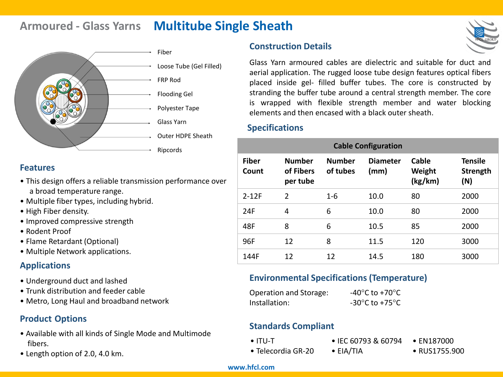# **Armoured - Glass Yarns Multitube Single Sheath**



Loose Tube (Gel Filled)

- 
- Outer HDPE Sheath
- 

### **Features**

- This design offers a reliable transmission performance over a broad temperature range.
- Multiple fiber types, including hybrid.
- High Fiber density.
- Improved compressive strength
- Rodent Proof
- Flame Retardant (Optional)
- Multiple Network applications.

## **Applications**

- Underground duct and lashed
- Trunk distribution and feeder cable
- Metro, Long Haul and broadband network

# **Product Options**

- Available with all kinds of Single Mode and Multimode fibers.
- Length option of 2.0, 4.0 km.

## **Construction Details**



### **Specifications**

| <b>Cable Configuration</b> |                                        |                           |                         |                            |                                   |  |  |
|----------------------------|----------------------------------------|---------------------------|-------------------------|----------------------------|-----------------------------------|--|--|
| <b>Fiber</b><br>Count      | <b>Number</b><br>of Fibers<br>per tube | <b>Number</b><br>of tubes | <b>Diameter</b><br>(mm) | Cable<br>Weight<br>(kg/km) | <b>Tensile</b><br>Strength<br>(N) |  |  |
| $2 - 12F$                  | $\overline{2}$                         | $1-6$                     | 10.0                    | 80                         | 2000                              |  |  |
| 24F                        | 4                                      | 6                         | 10.0                    | 80                         | 2000                              |  |  |
| 48F                        | 8                                      | 6                         | 10.5                    | 85                         | 2000                              |  |  |
| 96F                        | 12                                     | 8                         | 11.5                    | 120                        | 3000                              |  |  |
| 144F                       | 12                                     | 12                        | 14.5                    | 180                        | 3000                              |  |  |

### **Environmental Specifications (Temperature)**

| Operation and Storage: | -40 $^{\circ}$ C to +70 $^{\circ}$ C                 |
|------------------------|------------------------------------------------------|
| Installation:          | -30 $\mathrm{^{\circ}C}$ to +75 $\mathrm{^{\circ}C}$ |

## **Standards Compliant**

• ITU-T

- IEC 60793 & 60794 • EN187000
- Telecordia GR-20
- EIA/TIA
- RUS1755.900

#### **www.hfcl.com**